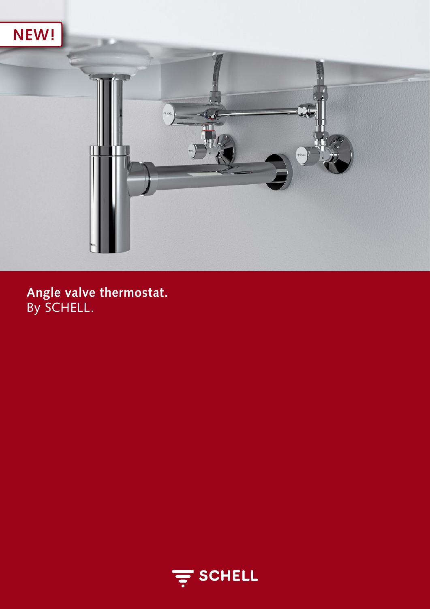

Angle valve thermostat.<br>By SCHELL.

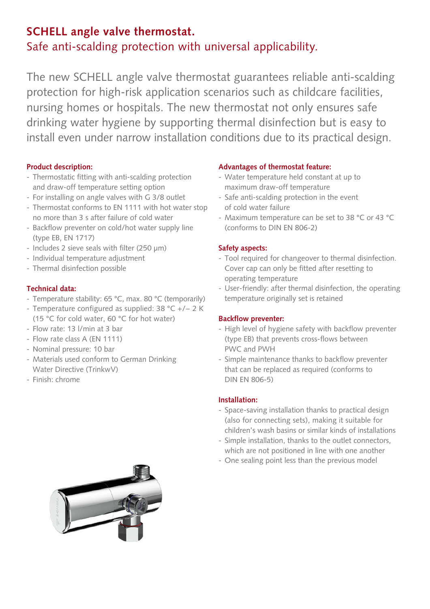# **SCHELL angle valve thermostat.** Safe anti-scalding protection with universal applicability.

The new SCHELL angle valve thermostat guarantees reliable anti-scalding protection for high-risk application scenarios such as childcare facilities, nursing homes or hospitals. The new thermostat not only ensures safe drinking water hygiene by supporting thermal disinfection but is easy to install even under narrow installation conditions due to its practical design.

## **Product description:**

- Thermostatic fitting with anti-scalding protection and draw-off temperature setting option
- For installing on angle valves with G 3/8 outlet
- Thermostat conforms to EN 1111 with hot water stop no more than 3 s after failure of cold water
- Backflow preventer on cold/hot water supply line (type EB, EN 1717)
- Includes 2 sieve seals with filter (250 µm)
- Individual temperature adjustment
- Thermal disinfection possible

## **Technical data:**

- Temperature stability: 65 °C, max. 80 °C (temporarily)
- Temperature configured as supplied: 38 °C +/− 2 K (15 °C for cold water, 60 °C for hot water)
- Flow rate: 13 l/min at 3 bar
- Flow rate class A (EN 1111)
- Nominal pressure: 10 bar
- Materials used conform to German Drinking Water Directive (TrinkwV)
- Finish: chrome

## **Advantages of thermostat feature:**

- Water temperature held constant at up to maximum draw-off temperature
- Safe anti-scalding protection in the event of cold water failure
- Maximum temperature can be set to 38 °C or 43 °C (conforms to DIN EN 806-2)

## **Safety aspects:**

- Tool required for changeover to thermal disinfection. Cover cap can only be fitted after resetting to operating temperature
- User-friendly: after thermal disinfection, the operating temperature originally set is retained

## **Backflow preventer:**

- High level of hygiene safety with backflow preventer (type EB) that prevents cross-flows between PWC and PWH
- Simple maintenance thanks to backflow preventer that can be replaced as required (conforms to DIN EN 806-5)

## **Installation:**

- Space-saving installation thanks to practical design (also for connecting sets), making it suitable for children's wash basins or similar kinds of installations
- Simple installation, thanks to the outlet connectors, which are not positioned in line with one another
- One sealing point less than the previous model

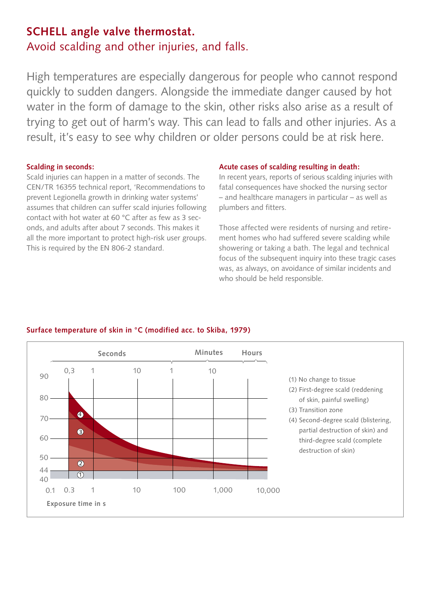## **SCHELL angle valve thermostat.** Avoid scalding and other injuries, and falls.

High temperatures are especially dangerous for people who cannot respond quickly to sudden dangers. Alongside the immediate danger caused by hot water in the form of damage to the skin, other risks also arise as a result of trying to get out of harm's way. This can lead to falls and other injuries. As a result, it's easy to see why children or older persons could be at risk here.

### **Scalding in seconds:**

Scald injuries can happen in a matter of seconds. The CEN/TR 16355 technical report, 'Recommendations to prevent Legionella growth in drinking water systems' assumes that children can suffer scald injuries following contact with hot water at 60 °C after as few as 3 seconds, and adults after about 7 seconds. This makes it all the more important to protect high-risk user groups. This is required by the EN 806-2 standard.

### **Acute cases of scalding resulting in death:**

In recent years, reports of serious scalding injuries with fatal consequences have shocked the nursing sector – and healthcare managers in particular – as well as plumbers and fitters.

Those affected were residents of nursing and retirement homes who had suffered severe scalding while showering or taking a bath. The legal and technical focus of the subsequent inquiry into these tragic cases was, as always, on avoidance of similar incidents and who should be held responsible.



## **Surface temperature of skin in °C (modified acc. to Skiba, 1979)**